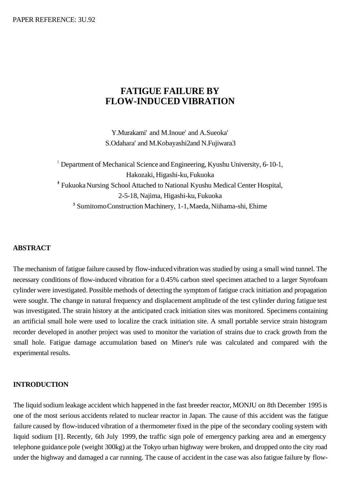# **FATIGUE FAILURE BY FLOW-INDUCED VIBRATION**

Y.Murakami' and M.Inoue' and A.Sueoka' S.Odahara' and M.Kobayashi2 and N.Fujiwara3

<sup>I</sup> Department of Mechanical Science and Engineering, Kyushu University, 6-10-1, Hakozaki, Higashi-ku, Fukuoka \* Fukuoka Nursing School Attached to National Kyushu Medical Center Hospital, 2-5-18, Najima, Higashi-ku, Fukuoka <sup>3</sup> Sumitomo Construction Machinery, 1-1, Maeda, Niihama-shi, Ehime

# **ABSTRACT**

The mechanism of fatigue failure caused by flow-induced vibration was studied by using a small wind tunnel. The necessary conditions of flow-induced vibration for a 0.45% carbon steel specimen attached to a larger Styrofoam cylinder were investigated. Possible methods of detecting the symptom of fatigue crack initiation and propagation were sought. The change in natural frequency and displacement amplitude of the test cylinder during fatigue test was investigated. The strain history at the anticipated crack initiation sites was monitored. Specimens containing an artificial small hole were used to localize the crack initiation site. A small portable service strain histogram recorder developed in another project was used to monitor the variation of strains due to crack growth from the small hole. Fatigue damage accumulation based on Miner's rule was calculated and compared with the experimental results.

#### **INTRODUCTION**

The liquid sodium leakage accident which happened in the fast breeder reactor, MONJU on 8th December 1995 is one of the most serious accidents related to nuclear reactor in Japan. The cause of this accident was the fatigue failure caused by flow-induced vibration of a thermometer fixed in the pipe of the secondary cooling system with liquid sodium [1]. Recently, 6th July 1999, the traffic sign pole of emergency parking area and an emergency telephone guidance pole (weight 300kg) at the Tokyo urban highway were broken, and dropped onto the city road under the highway and damaged a car running. The cause of accident in the case was also fatigue failure by flow-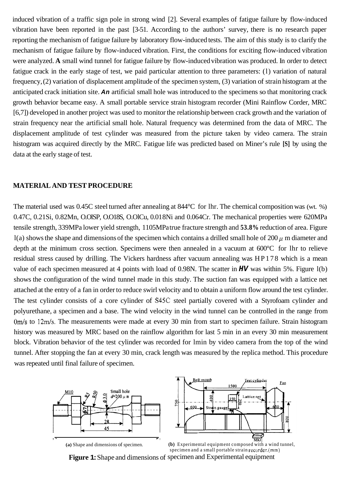induced vibration of a traffic sign pole in strong wind [2]. Several examples of fatigue failure by flow-induced vibration have been reported in the past [3-51. According to the authors' survey, there is no research paper reporting the mechanism of fatigue failure by laboratory flow-induced tests. The aim of this study is to clarify the mechanism of fatigue failure by flow-induced vibration. First, the conditions for exciting flow-induced vibration were analyzed. **A** small wind tunnel for fatigue failure by flow-induced vibration was produced. In order to detect fatigue crack in the early stage of test, we paid particular attention to three parameters: (l) variation of natural frequency, (2) variation of displacement amplitude of the specimen system, (3) variation of strain histogram at the anticipated crack initiation site. *An* artificial small hole was introduced to the specimens so that monitoring crack growth behavior became easy. A small portable service strain histogram recorder (Mini Rainflow Corder, MRC [6,7]) developed in another project was used to monitor the relationship between crack growth and the variation of strain frequency near the artificial small hole. Natural frequency was determined from the data of MRC. The displacement amplitude of test cylinder was measured from the picture taken by video camera. The strain histogram was acquired directly by the MRC. Fatigue life was predicted based on Miner's rule **[S]** by using the data at the early stage of test.

#### **MATERIAL AND TEST PROCEDURE**

The material used was 0.45C steel turned after annealing at 844°C for lhr. The chemical composition was (wt. %) 0.47C, 0.21Si, 0.82Mn, O.OlSP, O.O18S, O.OlCu, 0.01 8Ni and 0.064Cr. The mechanical properties were 620MPa tensile strength, 339MPa lower yield strength, 1105MPa true fracture strength and **53.8%** reduction of area. Figure l(a) shows the shape and dimensions of the specimen which contains a drilled small hole of 200  $\mu$  m diameter and depth at the minimum cross section. Specimens were then annealed in a vacuum at 600°C for lhr to relieve residual stress caused by drilling. The Vickers hardness after vacuum annealing was HP178 which is a mean value of each specimen measured at 4 points with load of 0.98N. The scatter in *HV* was within 5%. Figure l(b) shows the configuration of the wind tunnel made in this study. The suction fan was equipped with a lattice net attached at the entry of a fan in order to reduce swirl velocity and to obtain a uniform flow around the test cylinder. The test cylinder consists of a core cylinder of S45C steel partially covered with a Styrofoam cylinder and polyurethane, a specimen and a base. The wind velocity in the wind tunnel can be controlled in the range from *Om/s* to 12m/s. The measurements were made at every 30 min from start to specimen failure. Strain histogram history was measured by MRC based on the rainflow algorithm for last 5 min in an every 30 min measurement block. Vibration behavior of the test cylinder was recorded for lmin by video camera from the top of the wind tunnel. After stopping the fan at every 30 min, crack length was measured by the replica method. This procedure was repeated until final failure of specimen.



**Figure 1:** Shape and dimensions of specimen and Experimental equipment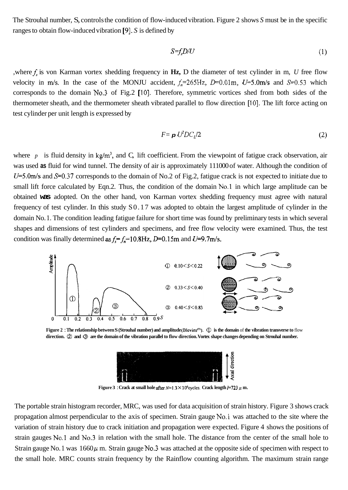The Strouhal number, S, controls the condition of flow-induced vibration. Figure 2 shows *S* must be in the specific ranges to obtain flow-induced vibration [9]. *S* is defined by

$$
S = f_s D/U \tag{1}
$$

,where *f,* is von Karman vortex shedding frequency in **Hz,** D the diameter of test cylinder in m, *U* free flow velocity in *m/s*. In the case of the MONJU accident,  $f_n=265\text{Hz}$ ,  $D=0.01\text{m}$ ,  $U=5.0\text{m/s}$  and  $S=0.53$  which corresponds to the domain No.3 of Fig.2 [10]. Therefore, symmetric vortices shed from both sides of the thermometer sheath, and the thermometer sheath vibrated parallel to flow direction [10]. The lift force acting on test cylinder per unit length is expressed by

$$
F = \mathbf{p} U^2 D C_l / 2 \tag{2}
$$

where  $p$  is fluid density in kg/m<sup>3</sup>, and C, lift coefficient. From the viewpoint of fatigue crack observation, air was used **as** fluid for wind tunnel. The density of air is approximately 111000 of water. Although the condition of  $U=5.0$ m/s and  $S=0.37$  corresponds to the domain of No.2 of Fig.2, fatigue crack is not expected to initiate due to small lift force calculated by Eqn.2. Thus, the condition of the domain No.1 in which large amplitude can be obtained **was** adopted. On the other hand, von Karman vortex shedding frequency must agree with natural frequency of test cylinder. In this study S0.17 was adopted to obtain the largest amplitude of cylinder in the domain No. 1. The condition leading fatigue failure for short time was found by preliminary tests in which several shapes and dimensions of test cylinders and specimens, and free flow velocity were examined. Thus, the test condition was finally determined as  $f_s = f_n = 10.8$  Hz, D=0.15m and U=9.7m/s.



Figure 2 : The relationship between S (Strouhal number) and amplitude(Blevins<sup>(9)</sup>). ① is the domain of the vibration transverse to flow<br>direction. ② and ③ are the domain of the vibration parallel to flow direction. Vortex



**Figure 3** : Crack at small hole after  $N=1.3 \times 10^6$  cycles. Crack length  $I=723 \mu$  m.

The portable strain histogram recorder, MRC, was used for data acquisition of strain history. Figure 3 shows crack propagation almost perpendicular to the axis of specimen. Strain gauge No.1 was attached to the site where the variation of strain history due to crack initiation and propagation were expected. [Figure 4](#page-3-0) shows the positions of strain gauges No.1 and No.3 in relation with the small hole. The distance from the center of the small hole to Strain gauge No. 1 was  $1660\mu$  m. Strain gauge No.3 was attached at the opposite side of specimen with respect to the small hole. MRC counts strain frequency by the Rainflow counting algorithm. The maximum strain range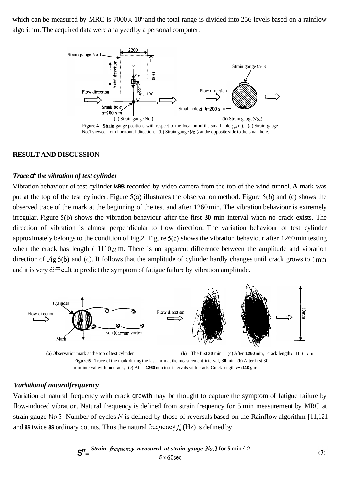<span id="page-3-0"></span>which can be measured by MRC is 7000 x 10" and the total range is divided into 256 levels based on a rainflow algorithm. The acquired data were analyzed by a personal computer.



**Figure 4** : **Strain** gauge positions with respect to the location of the small hole  $(\mu \text{ m})$ . (a) Strain gauge No. 1 viewed from horizontal direction. (b) Strain gauge No. 3 at the opposite side to the small hole.

### **RESULT AND DISCUSSION**

#### *Trace of the vibration of test cylinder*

Vibration behaviour of test cylinder **was** recorded by video camera from the top of the wind tunnel. **A** mark was put at the top of the test cylinder. Figure 5(a) illustrates the observation method. Figure 5(b) and (c) shows the observed trace of the mark at the beginning of the test and after 1260 min. The vibration behaviour is extremely irregular. Figure 5(b) shows the vibration behaviour after the first **30** min interval when no crack exists. The direction of vibration is almost perpendicular to flow direction. The variation behaviour of test cylinder approximately belongs to the condition of Fig.2. Figure 5(c) shows the vibration behaviour after 1260 min testing when the crack has length  $l=1110 \mu$  m. There is no apparent difference between the amplitude and vibration direction of Fig.5(b) and (c). It follows that the amplitude of cylinder hardly changes until crack grows to 1mm and it is very difficult to predict the symptom of fatigue failure by vibration amplitude.



(a) Observation mark at the top of test cylinder **(b)** The first **30** min (c) After **1260** min, crack length  $l=1110$   $\mu$  m **Figure 5** : Trace **of** the mark during the last lmin at the measurement interval, **30** min. **(b)** After first 30 min interval with **no** crack, (c) After **1260** min test intervals with crack. Crack length  $l=1110 \mu$  m.

#### *Variation of natural frequency*

Variation of natural frequency with crack growth may be thought to capture the symptom of fatigue failure by flow-induced vibration. Natural frequency is defined from strain frequency for 5 min measurement by MRC at strain gauge No.3. Number of cycles N is defined by those of reversals based on the Rainflow algorithm [11,121 and **as** twice **as** ordinary counts. Thus the natural frequency  $f_n$  (Hz) is defined by

$$
ST' = \frac{Strain \; frequency \; measured \; at \; strain \; gauge \; No.3 \; for \; 5 \; min \; / \; 2}{5 \times 60 \; sec}
$$
 (3)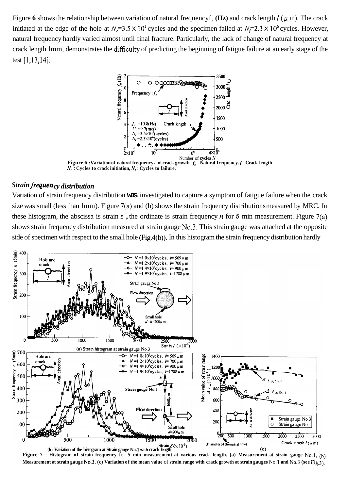Figure 6 shows the relationship between variation of natural frequencyf,  $(Hz)$  and crack length *l* ( $\mu$  m). The crack initiated at the edge of the hole at  $N_c=3.5 \times 10^5$  cycles and the specimen failed at  $N_c=2.3 \times 10^6$  cycles. However, natural frequency hardly varied almost until final fracture. Particularly, the lack of change of natural frequency at crack length lmm, demonstrates the difficulty of predicting the beginning of fatigue failure at an early stage of the test [1,13,14].



**Figure 6 :Variation of natural frequency** and **crack growth.** *f,* : **Natural frequency.** *l* : **Crack length.**   $N_c$ : **Cycles to crack initiation,**  $N_f$ **: Cycles to failure.** 

# $Strain frequency\ distribution$

Variation of strain frequency distribution **was** investigated to capture a symptom of fatigue failure when the crack size was small (less than lmm). Figure 7(a) and (b) shows the strain frequency distributions measured by MRC. In these histogram, the abscissa is strain  $\epsilon$ , the ordinate is strain frequency  $n$  for 5 min measurement. Figure 7(a) shows strain frequency distribution measured at strain gauge No.3. This strain gauge was attached at the opposite side of specimen with respect to the small hole (Fig.4(b)). In this histogram the strain frequency distribution hardly



(b) Variation of the histogram at Strain gauge No. 1 with crack length (c) (c) **Figure 7 : Histogram of strain frequency for 5 min measurement at various crack length. (a) Measurement at strain gauge No.1, (b) Measurement at strain gauge No.3. (c) Variation of the mean value** of **strain range with crack growth at strain gauges** No. **1 and No.3 (see Fig**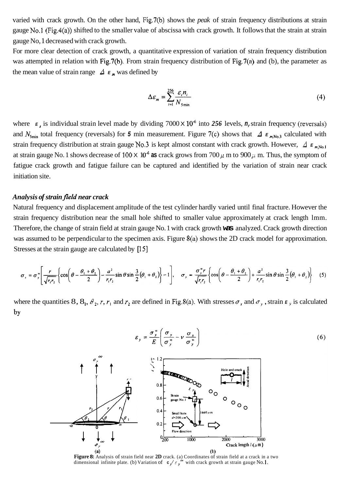varied with crack growth. On the other hand, Fig.7(b) shows the *peak* of strain frequency distributions at strain gauge No.1 (Fig.4(a)) shifted to the smaller value of abscissa with crack growth. It follows that the strain at strain gauge No, 1 decreased with crack growth.

For more clear detection of crack growth, a quantitative expression of variation of strain frequency distribution was attempted in relation with Fig.7(b). From strain frequency distribution of Fig.7(a) and (b), the parameter as the mean value of strain range  $\Delta$  *E*<sub>m</sub> was defined by

$$
\Delta \varepsilon_m = \sum_{i=1}^{256} \frac{\varepsilon_i n_i}{N_{\text{5min}}} \tag{4}
$$

 $(6)$ 

where  $E_i$  is individual strain level made by dividing  $7000 \times 10^4$  into 256 levels, *n*, strain frequency (reversals) and  $N_{\text{5min}}$  total frequency (reversals) for 5 min measurement. Figure 7(c) shows that  $\Delta E_{mN_{0,3}}$  calculated with strain frequency distribution at strain gauge No.3 is kept almost constant with crack growth. However,  $\Delta E_{mN_0}$ , at strain gauge No. 1 shows decrease of  $100 \times 10^{-6}$  as crack grows from  $700 \mu$  m to  $900 \mu$  m. Thus, the symptom of fatigue crack growth and fatigue failure can be captured and identified by the variation of strain near crack initiation site.

#### *Analysis of strain jield near crack*

Natural frequency and displacement amplitude of the test cylinder hardly varied until final fracture. However the strain frequency distribution near the small hole shifted to smaller value approximately at crack length lmm. Therefore, the change of strain field at strain gauge No. 1 with crack growth **was** analyzed. Crack growth direction was assumed to be perpendicular to the specimen axis. Figure 8(a) shows the 2D crack model for approximation. Stresses at the strain gauge are calculated by [15]

$$
\sigma_x = \sigma_y^* \left[ \frac{r}{\sqrt{r_1 r_2}} \left\{ \cos \left( \theta - \frac{\theta_1 + \theta_2}{2} \right) - \frac{a^2}{r_1 r_2} \sin \theta \sin \frac{3}{2} (\theta_1 + \theta_2) \right\} - 1 \right], \quad \sigma_y = \frac{\sigma_y^* r}{\sqrt{r_1 r_2}} \left\{ \cos \left( \theta - \frac{\theta_1 + \theta_2}{2} \right) + \frac{a^2}{r_1 r_2} \sin \theta \sin \frac{3}{2} (\theta_1 + \theta_2) \right\} \tag{5}
$$

where the quantities 8,  $8_1$ ,  $\theta_2$ ,  $r$ ,  $r_1$  and  $r_2$  are defined in Fig.8(a). With stresses  $\sigma_x$  and  $\sigma_y$ , strain  $\epsilon_y$  is calculated by



(a)<br>Figure 8: Analysis of strain field near 2D crack. (a) Coordinates of strain field at a crack in a two<br>dimensional infinite plate. (b) Variation of  $c$ ,  $/c$ ,  $\degree$  with crack growth at strain gauge No.1.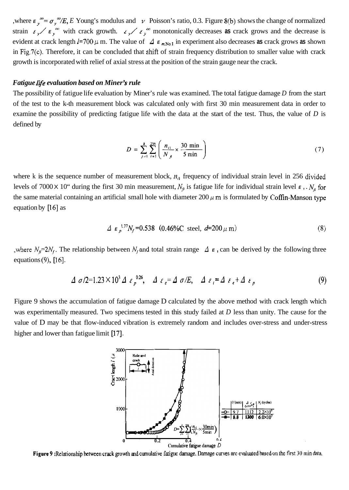,where  $\epsilon_y^{\infty} = \sigma_y^{\infty}/E$ , E Young's modulus and *v* Poisson's ratio, 0.3. Figure 8(b) shows the change of normalized strain  $\epsilon_y$   $\epsilon_y$ <sup>m</sup> with crack growth.  $\epsilon_y$   $\epsilon_y$ <sup>m</sup> monotonically decreases **as** crack grows and the decrease is evident at crack length  $k = 700 \mu$  m. The value of  $\Delta E_{m,N_0,1}$  in experiment also decreases as crack grows as shown in Fig.7(c). Therefore, it can be concluded that shift of strain frequency distribution to smaller value with crack growth is incorporated with relief of axial stress at the position of the strain gauge near the crack.

#### *Fatigue life evaluation based on Miner's rule*

The possibility of fatigue life evaluation by Miner's rule was examined. The total fatigue damage *D* from the start of the test to the k-th measurement block was calculated only with first 30 min measurement data in order to examine the possibility of predicting fatigue life with the data at the start of the test. Thus, the value of *D* is defined by

$$
D = \sum_{j=1}^{k} \sum_{i=1}^{256} \left( \frac{n_{i1}}{N_{f}} \times \frac{30 \text{ min}}{5 \text{ min}} \right)
$$
 (7)

where k is the sequence number of measurement block,  $n<sub>i</sub>$  frequency of individual strain level in 256 divided levels of 7000 × 10" during the first 30 min measurement,  $N_a$  is fatigue life for individual strain level  $\epsilon$ ,.  $N_a$  for the same material containing an artificial small hole with diameter  $200 \mu$  m is formulated by Coffin-Manson type equation by  $[16]$  as

$$
\Delta \varepsilon_p^{-1.7} N_f = 0.538 \quad (0.46\% \text{C steel}, \, d = 200 \, \mu \, \text{m}) \tag{8}
$$

, where  $N_f=2N_f$ . The relationship between  $N_f$  and total strain range  $\Delta$   $\epsilon$ , can be derived by the following three equations  $(9)$ ,  $[16]$ .

$$
\Delta \sigma/2 = 1.23 \times 10^3 \Delta \epsilon_p^{0.26}, \quad \Delta \epsilon_e = \Delta \sigma/E, \quad \Delta \epsilon_i = \Delta \epsilon_e + \Delta \epsilon_p \tag{9}
$$

Figure 9 shows the accumulation of fatigue damage D calculated by the above method with crack length which was experimentally measured. Two specimens tested in this study failed at *D* less than unity. The cause for the value of D may be that flow-induced vibration is extremely random and includes over-stress and under-stress higher and lower than fatigue limit  $[17]$ .



Figure 9: Relationship between crack growth and cumulative fatigue damage. Damage curves are evaluated based on the first 30 min data.